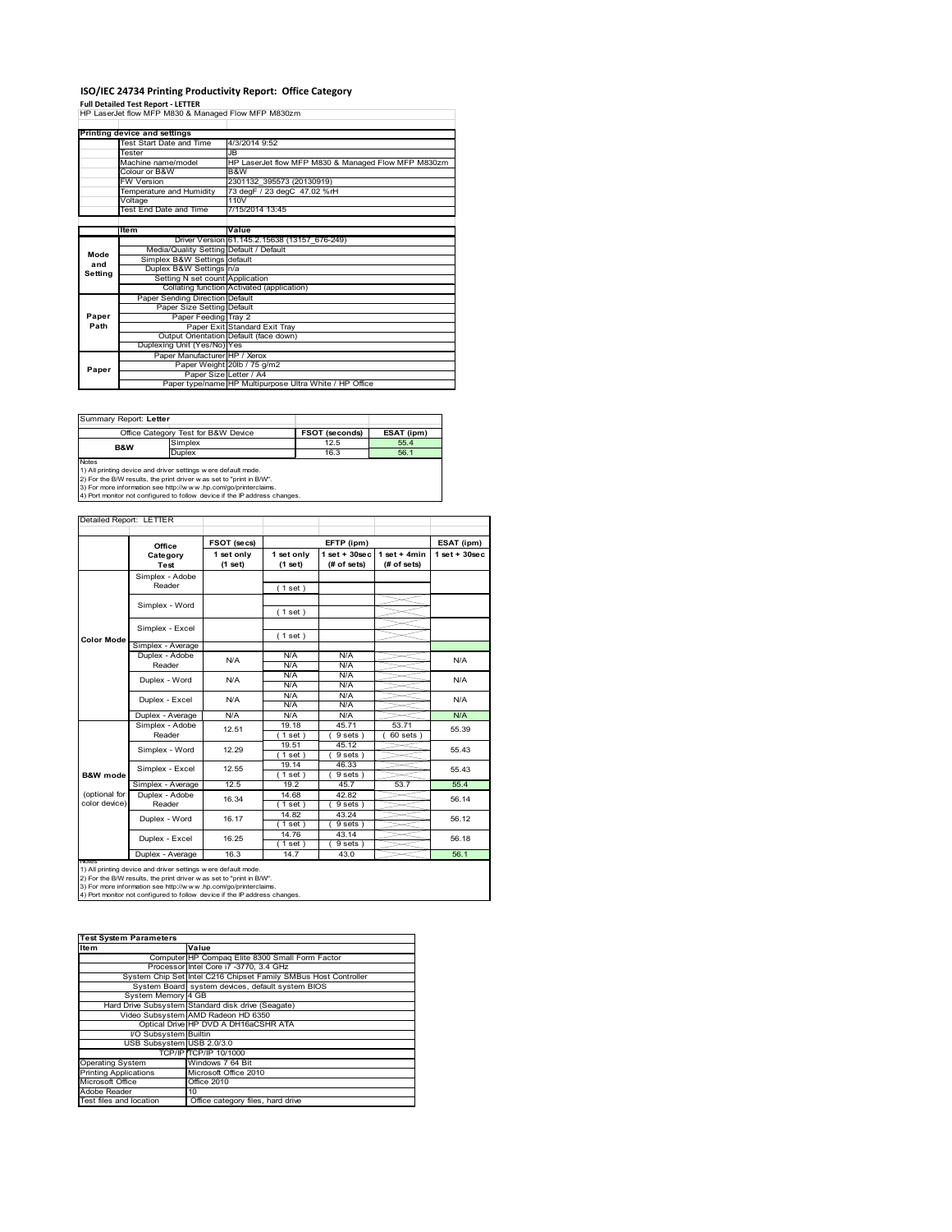# **ISO/IEC 24734 Printing Productivity Report: Office Category**

**Full Detailed Test Report ‐ LETTER** HP LaserJet flow MFP M830 & Managed Flow MFP M830zm

|         | <b>Printing device and settings</b>     |                                                         |
|---------|-----------------------------------------|---------------------------------------------------------|
|         | Test Start Date and Time                | 4/3/2014 9:52                                           |
|         | Tester                                  | JB.                                                     |
|         | Machine name/model                      | HP LaserJet flow MFP M830 & Managed Flow MFP M830zm     |
|         | Colour or B&W                           | B&W                                                     |
|         | <b>FW Version</b>                       | 2301132 395573 (20130919)                               |
|         | Temperature and Humidity                | 73 degF / 23 degC 47.02 %rH                             |
|         | Voltage                                 | 110V                                                    |
|         | <b>Test End Date and Time</b>           | 7/15/2014 13:45                                         |
|         |                                         |                                                         |
|         | <b>Item</b>                             | Value                                                   |
|         |                                         | Driver Version 61.145.2.15638 (13157 676-249)           |
| Mode    | Media/Quality Setting Default / Default |                                                         |
| and     | Simplex B&W Settings default            |                                                         |
| Setting | Duplex B&W Settings n/a                 |                                                         |
|         | Setting N set count Application         |                                                         |
|         |                                         | Collating function Activated (application)              |
|         | Paper Sending Direction Default         |                                                         |
|         | Paper Size Setting Default              |                                                         |
| Paper   | Paper Feeding Tray 2                    |                                                         |
| Path    |                                         | Paper Exit Standard Exit Tray                           |
|         |                                         | Output Orientation Default (face down)                  |
|         | Duplexing Unit (Yes/No) Yes             |                                                         |
|         | Paper Manufacturer HP / Xerox           |                                                         |
| Paper   |                                         | Paper Weight 20lb / 75 g/m2                             |
|         | Paper Size Letter / A4                  |                                                         |
|         |                                         | Paper type/name HP Multipurpose Ultra White / HP Office |

| Summary Report: Letter                                                                                                                                                                                                  |                                     |                |            |  |  |
|-------------------------------------------------------------------------------------------------------------------------------------------------------------------------------------------------------------------------|-------------------------------------|----------------|------------|--|--|
|                                                                                                                                                                                                                         | Office Category Test for B&W Device | FSOT (seconds) | ESAT (ipm) |  |  |
| <b>B&amp;W</b>                                                                                                                                                                                                          | Simplex                             | 12.5           | 55.4       |  |  |
|                                                                                                                                                                                                                         | Duplex                              | 16.3           | 56.1       |  |  |
| <b>Notes</b><br>1) All printing device and driver settings w ere default mode.<br>2) For the B/W results, the print driver was set to "print in B/W".<br>3) For more information cee http://www.hp.com/go/printerclaime |                                     |                |            |  |  |

3) For more information see http://w w w .hp.com/go/printerclaims. 4) Port monitor not configured to follow device if the IP address changes.

| Detailed Report: LETTER        |                            |                       |                       |                                  |                               |                  |
|--------------------------------|----------------------------|-----------------------|-----------------------|----------------------------------|-------------------------------|------------------|
|                                |                            | FSOT (secs)           |                       | EFTP (ipm)                       |                               | ESAT (ipm)       |
|                                | Office<br>Category<br>Test | 1 set only<br>(1 set) | 1 set only<br>(1 set) | $1$ set $+30$ sec<br>(# of sets) | $1$ set + 4min<br>(# of sets) | $1$ set + 30 sec |
|                                | Simplex - Adobe<br>Reader  |                       | (1 set)               |                                  |                               |                  |
|                                | Simplex - Word             |                       | (1 set)               |                                  |                               |                  |
|                                | Simplex - Excel            |                       | (1 set)               |                                  |                               |                  |
| <b>Color Mode</b>              | Simplex - Average          |                       |                       |                                  |                               |                  |
|                                | Duplex - Adobe<br>Reader   | N/A                   | N/A<br>N/A            | N/A<br>N/A                       |                               | N/A              |
|                                | Duplex - Word              | N/A                   | N/A<br>N/A            | N/A<br>N/A                       |                               | N/A              |
|                                | Duplex - Excel             | N/A                   | N/A<br>N/A            | N/A<br>N/A                       |                               | N/A              |
|                                | Duplex - Average           | N/A                   | N/A                   | N/A                              |                               | N/A              |
|                                | Simplex - Adobe<br>Reader  | 12.51                 | 19.18<br>$1$ set)     | 45.71<br>9 sets)                 | 53.71<br>60 sets              | 55.39            |
|                                | Simplex - Word             | 12.29                 | 19.51<br>$1$ set)     | 45.12<br>9 sets)                 |                               | 55.43            |
| <b>B&amp;W</b> mode            | Simplex - Excel            | 12.55                 | 19.14<br>$1$ set)     | 46.33<br>9 sets)                 |                               | 55.43            |
|                                | Simplex - Average          | 12.5                  | 19.2                  | 45.7                             | 53.7                          | 55.4             |
| (optional for<br>color device) | Duplex - Adobe<br>Reader   | 16.34                 | 14.68<br>(1 set)      | 42.82<br>9 sets)                 |                               | 56.14            |
|                                | Duplex - Word              | 16.17                 | 14.82<br>$1$ set)     | 43.24<br>9 sets)                 |                               | 56.12            |
|                                | Duplex - Excel             | 16.25                 | 14.76<br>$1$ set)     | 43.14<br>9 sets)                 |                               | 56.18            |
|                                | Duplex - Average           | 16.3                  | 14.7                  | 43.0                             |                               | 56.1             |

nations)<br>1) All printing device and driver settings were default mode.<br>2) For the B/W results, the print driver was set to "print in B/W".<br>3) For more information see http://www.hp.com/go/printerclaims.<br>4) Por monitor not

| <b>Test System Parameters</b> |                                                                 |  |  |  |
|-------------------------------|-----------------------------------------------------------------|--|--|--|
| <b>Item</b>                   | Value                                                           |  |  |  |
|                               | Computer HP Compaq Elite 8300 Small Form Factor                 |  |  |  |
|                               | Processor Intel Core i7 -3770, 3.4 GHz                          |  |  |  |
|                               | System Chip Set Intel C216 Chipset Family SMBus Host Controller |  |  |  |
|                               | System Board system devices, default system BIOS                |  |  |  |
| System Memory 4 GB            |                                                                 |  |  |  |
|                               | Hard Drive Subsystem Standard disk drive (Seagate)              |  |  |  |
|                               | Video Subsystem AMD Radeon HD 6350                              |  |  |  |
|                               | Optical Drive HP DVD A DH16aCSHR ATA                            |  |  |  |
| I/O Subsystem Builtin         |                                                                 |  |  |  |
| USB Subsystem USB 2.0/3.0     |                                                                 |  |  |  |
|                               | TCP/IPITCP/IP 10/1000                                           |  |  |  |
| <b>Operating System</b>       | Windows 7 64 Bit                                                |  |  |  |
| <b>Printing Applications</b>  | Microsoft Office 2010                                           |  |  |  |
| Microsoft Office              | <b>Office 2010</b>                                              |  |  |  |
| Adobe Reader                  | 10                                                              |  |  |  |
| Test files and location       | Office category files, hard drive                               |  |  |  |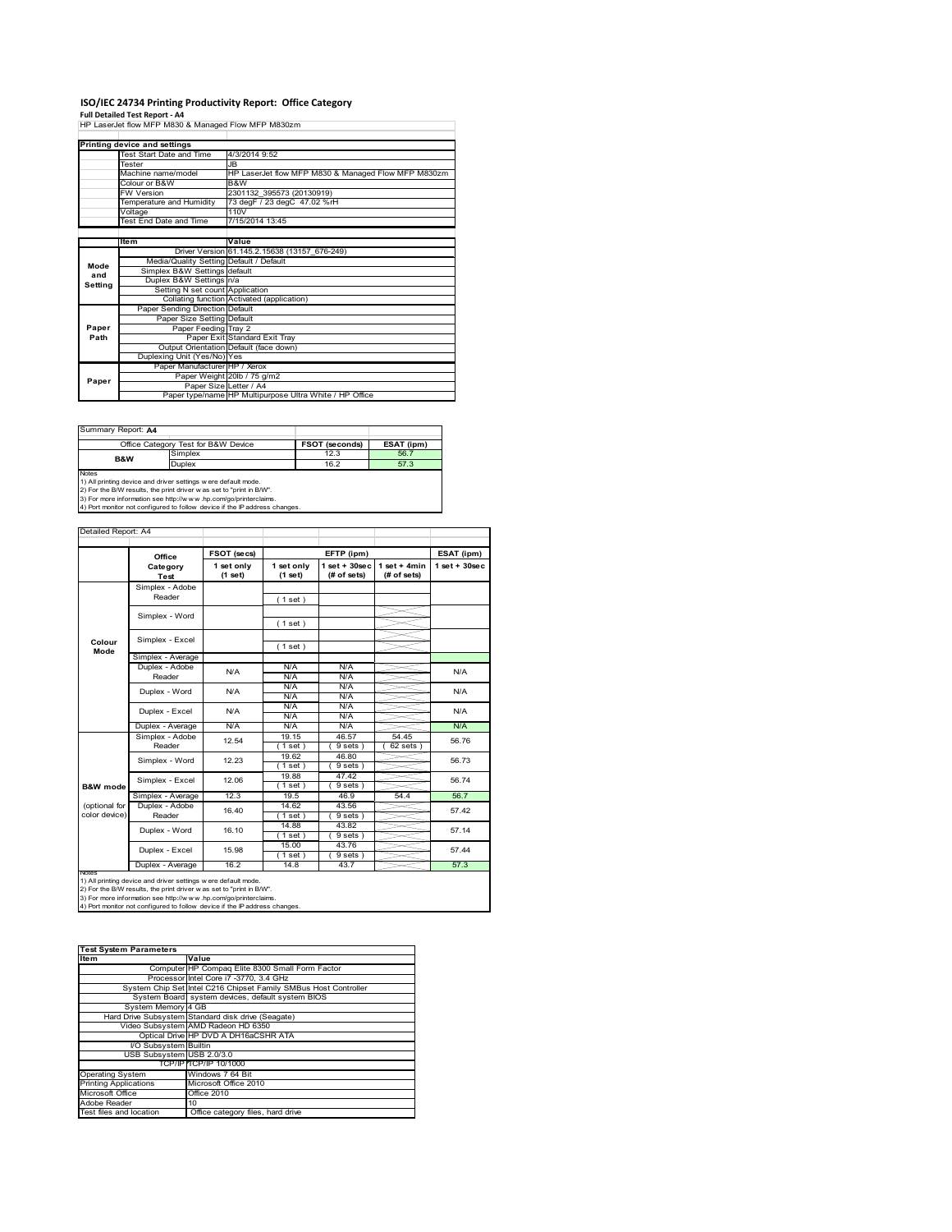### **ISO/IEC 24734 Printing Productivity Report: Office Category**

**Full Detailed Test Report ‐ A4** HP LaserJet flow MFP M830 & Managed Flow MFP M830zm

|         | Printing device and settings            |                                                         |
|---------|-----------------------------------------|---------------------------------------------------------|
|         | Test Start Date and Time                | 4/3/2014 9:52                                           |
|         | Tester                                  | JB.                                                     |
|         | Machine name/model                      | HP LaserJet flow MFP M830 & Managed Flow MFP M830zm     |
|         | Colour or B&W                           | B&W                                                     |
|         | <b>FW Version</b>                       | 2301132 395573 (20130919)                               |
|         | Temperature and Humidity                | 73 degF / 23 degC 47.02 %rH                             |
|         | Voltage                                 | 110V                                                    |
|         | Test End Date and Time                  | 7/15/2014 13:45                                         |
|         |                                         |                                                         |
|         | <b>Item</b>                             | Value                                                   |
|         |                                         | Driver Version 61.145.2.15638 (13157 676-249)           |
| Mode    | Media/Quality Setting Default / Default |                                                         |
| and     | Simplex B&W Settings default            |                                                         |
|         | Duplex B&W Settings n/a                 |                                                         |
| Setting | Setting N set count Application         |                                                         |
|         |                                         | Collating function Activated (application)              |
|         | Paper Sending Direction Default         |                                                         |
|         | Paper Size Setting Default              |                                                         |
| Paper   | Paper Feeding Tray 2                    |                                                         |
| Path    |                                         | Paper Exit Standard Exit Tray                           |
|         |                                         | Output Orientation Default (face down)                  |
|         | Duplexing Unit (Yes/No) Yes             |                                                         |
|         | Paper Manufacturer HP / Xerox           |                                                         |
|         |                                         | Paper Weight 20lb / 75 g/m2                             |
| Paper   | Paper Size Letter / A4                  |                                                         |
|         |                                         | Paper type/name HP Multipurpose Ultra White / HP Office |

**FROT (seconds) ESAT (ipm)**<br>
Simplex 12.3 56.7 **Duplex** 16.2 16.2 57.3<br>
1) All printing device and driver settings were default mode.<br>
2) For the B/W results, the print driver was set to "print in B/W".<br>
3) For more information see http://www.hp.com/go/pointerclaims.<br> Office Category Test for B&W Device **B&W** Summary Report: **A4**

|                     | Office            | FSOT (secs)           |                       | EFTP (ipm)                     |                               | ESAT (ipm)         |  |
|---------------------|-------------------|-----------------------|-----------------------|--------------------------------|-------------------------------|--------------------|--|
|                     | Category<br>Test  | 1 set only<br>(1 set) | 1 set only<br>(1 set) | $1$ set + 30sec<br>(# of sets) | $1$ set + 4min<br>(# of sets) | $1$ set + $30$ sec |  |
|                     | Simplex - Adobe   |                       |                       |                                |                               |                    |  |
|                     | Reader            |                       | (1 set)               |                                |                               |                    |  |
|                     | Simplex - Word    |                       |                       |                                |                               |                    |  |
|                     |                   |                       | (1 set)               |                                |                               |                    |  |
| Colour              | Simplex - Excel   |                       |                       |                                |                               |                    |  |
| Mode                |                   |                       | (1 set)               |                                |                               |                    |  |
|                     | Simplex - Average |                       |                       |                                |                               |                    |  |
|                     | Duplex - Adobe    | N/A                   | N/A                   | N/A                            |                               | N/A                |  |
|                     | Reader            |                       | N/A                   | N/A                            |                               |                    |  |
|                     | Duplex - Word     | N/A                   | N/A                   | N/A                            |                               | N/A                |  |
|                     |                   |                       | N/A                   | N/A                            |                               |                    |  |
|                     | Duplex - Excel    | N/A                   | N/A                   | N/A                            |                               | N/A                |  |
|                     |                   |                       | N/A                   | N/A                            |                               |                    |  |
|                     | Duplex - Average  | N/A                   | N/A                   | N/A                            |                               | N/A                |  |
|                     | Simplex - Adobe   | 12.54                 | 19.15                 | 46.57                          | 54.45                         | 56.76<br>56.73     |  |
|                     | Reader            |                       | $1$ set $)$           | 9 sets )                       | 62 sets                       |                    |  |
|                     | Simplex - Word    | 12.23                 | 19.62                 | 46.80                          |                               |                    |  |
|                     |                   |                       | $1$ set               | 9 sets)                        |                               |                    |  |
|                     | Simplex - Excel   | 12.06                 | 19.88                 | 47.42                          |                               | 56.74              |  |
| <b>B&amp;W</b> mode |                   |                       | $1$ set)              | 9 sets)                        |                               |                    |  |
|                     | Simplex - Average | 12.3                  | 19.5                  | 46.9                           | 54.4                          | 56.7               |  |
| (optional for       | Duplex - Adobe    | 16.40                 | 14.62                 | 43.56                          |                               | 57.42              |  |
| color device)       | Reader            |                       | $1$ set               | 9 sets)                        |                               |                    |  |
|                     | Duplex - Word     | 16.10                 | 14.88                 | 43.82                          |                               | 57.14              |  |
|                     |                   |                       | (1 set)               | 9 sets)                        |                               |                    |  |
|                     | Duplex - Excel    | 15.98                 | 15.00                 | 43.76                          |                               | 57.44              |  |
|                     |                   |                       | $1$ set)              | 9 sets)                        |                               |                    |  |
| <b>INGHAS</b>       | Duplex - Average  | 16.2                  | 14.8                  | 43.7                           |                               | 57.3               |  |

| <b>Test System Parameters</b> |                                                                 |  |  |  |
|-------------------------------|-----------------------------------------------------------------|--|--|--|
| <b>Item</b>                   | Value                                                           |  |  |  |
|                               | Computer HP Compag Elite 8300 Small Form Factor                 |  |  |  |
|                               | Processor Intel Core i7 -3770, 3.4 GHz                          |  |  |  |
|                               | System Chip Set Intel C216 Chipset Family SMBus Host Controller |  |  |  |
|                               | System Board system devices, default system BIOS                |  |  |  |
| System Memory 4 GB            |                                                                 |  |  |  |
|                               | Hard Drive Subsystem Standard disk drive (Seagate)              |  |  |  |
|                               | Video Subsystem AMD Radeon HD 6350                              |  |  |  |
|                               | Optical Drive HP DVD A DH16aCSHR ATA                            |  |  |  |
| I/O Subsystem Builtin         |                                                                 |  |  |  |
| USB Subsystem USB 2.0/3.0     |                                                                 |  |  |  |
|                               | <b>TCP/IP TCP/IP 10/1000</b>                                    |  |  |  |
| <b>Operating System</b>       | Windows 7 64 Bit                                                |  |  |  |
| <b>Printing Applications</b>  | Microsoft Office 2010                                           |  |  |  |
| Microsoft Office              | <b>Office 2010</b>                                              |  |  |  |
| Adobe Reader                  | 10 <sup>1</sup>                                                 |  |  |  |
| Test files and location       | Office category files, hard drive                               |  |  |  |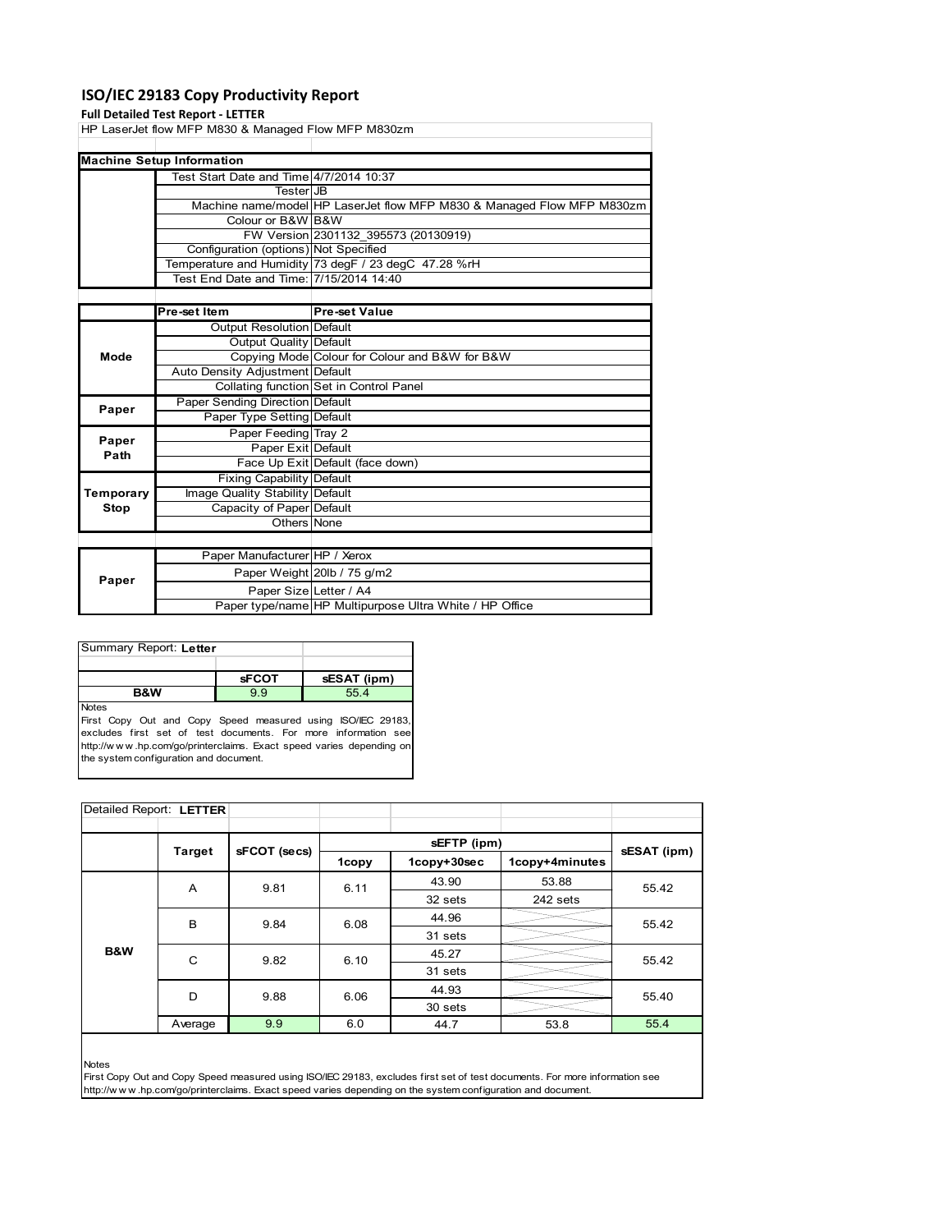## **ISO/IEC 29183 Copy Productivity Report**

#### **Full Detailed Test Report ‐ LETTER**

HP LaserJet flow MFP M830 & Managed Flow MFP M830zm

|  | <b>Machine Setup Information</b>        |                                                                        |
|--|-----------------------------------------|------------------------------------------------------------------------|
|  | Test Start Date and Time 4/7/2014 10:37 |                                                                        |
|  | TesterIJB                               |                                                                        |
|  |                                         | Machine name/model HP LaserJet flow MFP M830 & Managed Flow MFP M830zm |
|  | Colour or B&W B&W                       |                                                                        |
|  |                                         | FW Version 2301132 395573 (20130919)                                   |
|  | Configuration (options) Not Specified   |                                                                        |
|  |                                         | Temperature and Humidity 73 degF / 23 degC 47.28 %rH                   |
|  | Test End Date and Time: 7/15/2014 14:40 |                                                                        |

|               | Pre-set Item                    | <b>Pre-set Value</b>                                    |
|---------------|---------------------------------|---------------------------------------------------------|
|               | Output Resolution Default       |                                                         |
|               | Output Quality Default          |                                                         |
| Mode          |                                 | Copying Mode Colour for Colour and B&W for B&W          |
|               | Auto Density Adjustment Default |                                                         |
|               |                                 | Collating function Set in Control Panel                 |
| Paper         | Paper Sending Direction Default |                                                         |
|               | Paper Type Setting Default      |                                                         |
|               | Paper Feeding Tray 2            |                                                         |
| Paper<br>Path | Paper Exit Default              |                                                         |
|               |                                 | Face Up Exit Default (face down)                        |
|               | Fixing Capability Default       |                                                         |
| Temporary     | Image Quality Stability Default |                                                         |
| Stop          | Capacity of Paper Default       |                                                         |
|               | Others None                     |                                                         |
|               |                                 |                                                         |
|               | Paper Manufacturer HP / Xerox   |                                                         |
| Paper         |                                 | Paper Weight 20lb / 75 g/m2                             |
|               | Paper Size Letter / A4          |                                                         |
|               |                                 | Paper type/name HP Multipurpose Ultra White / HP Office |

| Summary Report: Letter                                                      |              |             |
|-----------------------------------------------------------------------------|--------------|-------------|
|                                                                             |              |             |
|                                                                             | <b>sFCOT</b> | sESAT (ipm) |
| <b>B&amp;W</b>                                                              | 99           | 55.4        |
| <b>Notes</b><br>First Copy Out and Copy Speed measured using ISO/IEC 29183, |              |             |

excludes first set of test documents. For more information see http://w w w .hp.com/go/printerclaims. Exact speed varies depending on the system configuration and document.

| Detailed Report: LETTER |                        |              |              |             |                |                |
|-------------------------|------------------------|--------------|--------------|-------------|----------------|----------------|
|                         |                        |              |              |             |                |                |
|                         | <b>Target</b>          | sFCOT (secs) |              | sEFTP (ipm) |                | sESAT (ipm)    |
|                         |                        |              | 1copy        | 1copy+30sec | 1copy+4minutes |                |
|                         | A                      | 9.81         | 6.11         | 43.90       | 53.88          | 55.42          |
|                         |                        |              |              | 32 sets     | 242 sets       |                |
|                         | B<br>9.84<br>C<br>9.82 |              | 6.08<br>6.10 | 44.96       |                | 55.42<br>55.42 |
|                         |                        |              |              | 31 sets     |                |                |
| <b>B&amp;W</b>          |                        |              |              | 45.27       |                |                |
|                         |                        |              |              | 31 sets     |                |                |
|                         | D                      | 9.88         | 6.06         | 44.93       |                | 55.40          |
|                         |                        |              |              | 30 sets     |                |                |
|                         | Average                | 9.9          | 6.0          | 44.7        | 53.8           | 55.4           |

Notes

First Copy Out and Copy Speed measured using ISO/IEC 29183, excludes first set of test documents. For more information see http://w w w .hp.com/go/printerclaims. Exact speed varies depending on the system configuration and document.